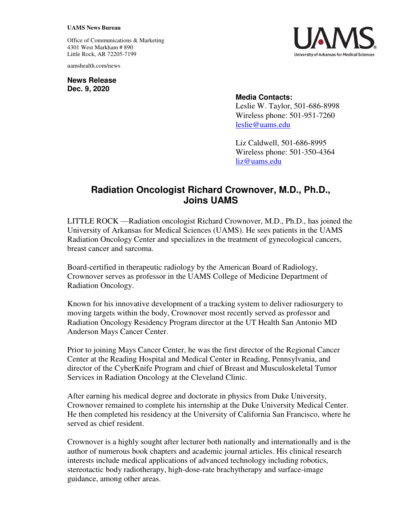## **UAMS News Bureau**

Office of Communications & Marketing 4301 West Markham # 890 Little Rock, AR 72205-7199

uamshealth.com/news

**News Release Dec. 9, 2020**



## **Media Contacts:**

Leslie W. Taylor, 501-686-8998 Wireless phone: 501-951-7260 [leslie@uams.edu](mailto:leslie@uams.edu)

Liz Caldwell, 501-686-8995 Wireless phone: 501-350-4364 [liz@uams.edu](mailto:liz@uams.edu)

## **Radiation Oncologist Richard Crownover, M.D., Ph.D., Joins UAMS**

LITTLE ROCK —Radiation oncologist Richard Crownover, M.D., Ph.D., has joined the University of Arkansas for Medical Sciences (UAMS). He sees patients in the UAMS Radiation Oncology Center and specializes in the treatment of gynecological cancers, breast cancer and sarcoma.

Board-certified in therapeutic radiology by the American Board of Radiology, Crownover serves as professor in the UAMS College of Medicine Department of Radiation Oncology.

Known for his innovative development of a tracking system to deliver radiosurgery to moving targets within the body, Crownover most recently served as professor and Radiation Oncology Residency Program director at the UT Health San Antonio MD Anderson Mays Cancer Center.

Prior to joining Mays Cancer Center, he was the first director of the Regional Cancer Center at the Reading Hospital and Medical Center in Reading, Pennsylvania, and director of the CyberKnife Program and chief of Breast and Musculoskeletal Tumor Services in Radiation Oncology at the Cleveland Clinic.

After earning his medical degree and doctorate in physics from Duke University, Crownover remained to complete his internship at the Duke University Medical Center. He then completed his residency at the University of California San Francisco, where he served as chief resident.

Crownover is a highly sought after lecturer both nationally and internationally and is the author of numerous book chapters and academic journal articles. His clinical research interests include medical applications of advanced technology including robotics, stereotactic body radiotherapy, high-dose-rate brachytherapy and surface-image guidance, among other areas.